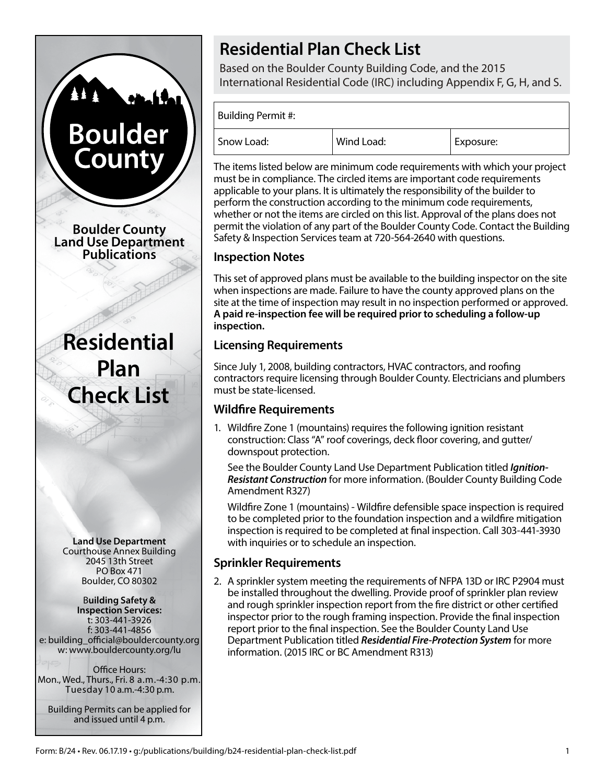# **Boulder** Count **Boulder County Land Use Department Publications**

**Residential Plan Check List**

**Land Use Department** Courthouse Annex Building 2045 13th Street PO Box 471 Boulder, CO 80302

#### B**uilding Safety & Inspection Services:** t: 303-441-3926 f: 303-441-4856 e: building\_official@bouldercounty.org w: www.bouldercounty.org/lu

Office Hours: Mon., Wed., Thurs., Fri. 8 a.m.-4:30 p.m. Tuesday 10 a.m.-4:30 p.m.

Building Permits can be applied for and issued until 4 p.m.

# **Residential Plan Check List**

Based on the Boulder County Building Code, and the 2015 International Residential Code (IRC) including Appendix F, G, H, and S.

Building Permit #:

| Snow Load: | Wind Load: | Exposure: |
|------------|------------|-----------|

The items listed below are minimum code requirements with which your project must be in compliance. The circled items are important code requirements applicable to your plans. It is ultimately the responsibility of the builder to perform the construction according to the minimum code requirements, whether or not the items are circled on this list. Approval of the plans does not permit the violation of any part of the Boulder County Code. Contact the Building Safety & Inspection Services team at 720-564-2640 with questions.

# **Inspection Notes**

This set of approved plans must be available to the building inspector on the site when inspections are made. Failure to have the county approved plans on the site at the time of inspection may result in no inspection performed or approved. **A paid re-inspection fee will be required prior to scheduling a follow-up inspection.**

# **Licensing Requirements**

Since July 1, 2008, building contractors, HVAC contractors, and roofing contractors require licensing through Boulder County. Electricians and plumbers must be state-licensed.

# **Wildfire Requirements**

1. Wildfire Zone 1 (mountains) requires the following ignition resistant construction: Class "A" roof coverings, deck floor covering, and gutter/ downspout protection.

See the Boulder County Land Use Department Publication titled *Ignition-Resistant Construction* for more information. (Boulder County Building Code Amendment R327)

Wildfire Zone 1 (mountains) - Wildfire defensible space inspection is required to be completed prior to the foundation inspection and a wildfire mitigation inspection is required to be completed at final inspection. Call 303-441-3930 with inquiries or to schedule an inspection.

# **Sprinkler Requirements**

2. A sprinkler system meeting the requirements of NFPA 13D or IRC P2904 must be installed throughout the dwelling. Provide proof of sprinkler plan review and rough sprinkler inspection report from the fire district or other certified inspector prior to the rough framing inspection. Provide the final inspection report prior to the final inspection. See the Boulder County Land Use Department Publication titled *Residential Fire-Protection System* for more information. (2015 IRC or BC Amendment R313)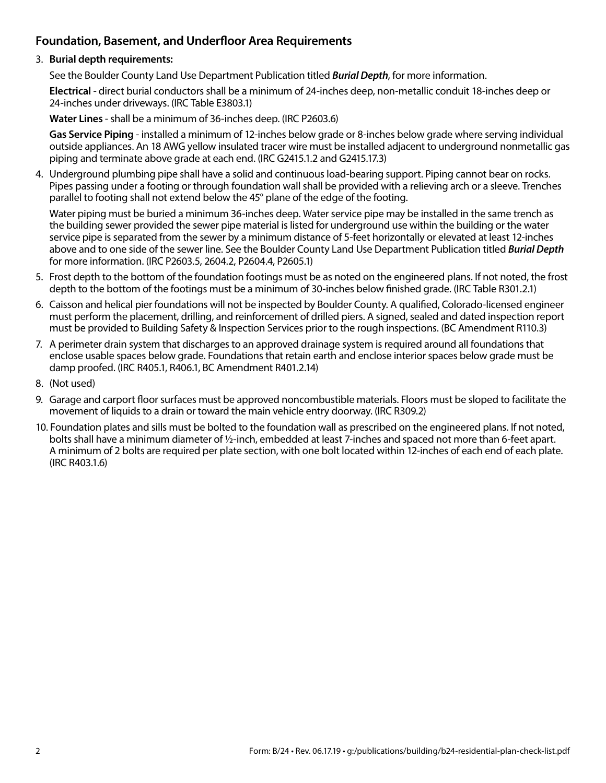# **Foundation, Basement, and Underfloor Area Requirements**

#### 3. **Burial depth requirements:**

See the Boulder County Land Use Department Publication titled *Burial Depth*, for more information.

**Electrical** - direct burial conductors shall be a minimum of 24-inches deep, non-metallic conduit 18-inches deep or 24-inches under driveways. (IRC Table E3803.1)

**Water Lines** - shall be a minimum of 36-inches deep. (IRC P2603.6)

**Gas Service Piping** - installed a minimum of 12-inches below grade or 8-inches below grade where serving individual outside appliances. An 18 AWG yellow insulated tracer wire must be installed adjacent to underground nonmetallic gas piping and terminate above grade at each end. (IRC G2415.1.2 and G2415.17.3)

4. Underground plumbing pipe shall have a solid and continuous load-bearing support. Piping cannot bear on rocks. Pipes passing under a footing or through foundation wall shall be provided with a relieving arch or a sleeve. Trenches parallel to footing shall not extend below the 45° plane of the edge of the footing.

Water piping must be buried a minimum 36-inches deep. Water service pipe may be installed in the same trench as the building sewer provided the sewer pipe material is listed for underground use within the building or the water service pipe is separated from the sewer by a minimum distance of 5-feet horizontally or elevated at least 12-inches above and to one side of the sewer line. See the Boulder County Land Use Department Publication titled *Burial Depth* for more information. (IRC P2603.5, 2604.2, P2604.4, P2605.1)

- 5. Frost depth to the bottom of the foundation footings must be as noted on the engineered plans. If not noted, the frost depth to the bottom of the footings must be a minimum of 30-inches below finished grade. (IRC Table R301.2.1)
- 6. Caisson and helical pier foundations will not be inspected by Boulder County. A qualified, Colorado-licensed engineer must perform the placement, drilling, and reinforcement of drilled piers. A signed, sealed and dated inspection report must be provided to Building Safety & Inspection Services prior to the rough inspections. (BC Amendment R110.3)
- 7. A perimeter drain system that discharges to an approved drainage system is required around all foundations that enclose usable spaces below grade. Foundations that retain earth and enclose interior spaces below grade must be damp proofed. (IRC R405.1, R406.1, BC Amendment R401.2.14)
- 8. (Not used)
- 9. Garage and carport floor surfaces must be approved noncombustible materials. Floors must be sloped to facilitate the movement of liquids to a drain or toward the main vehicle entry doorway. (IRC R309.2)
- 10. Foundation plates and sills must be bolted to the foundation wall as prescribed on the engineered plans. If not noted, bolts shall have a minimum diameter of ½-inch, embedded at least 7-inches and spaced not more than 6-feet apart. A minimum of 2 bolts are required per plate section, with one bolt located within 12-inches of each end of each plate. (IRC R403.1.6)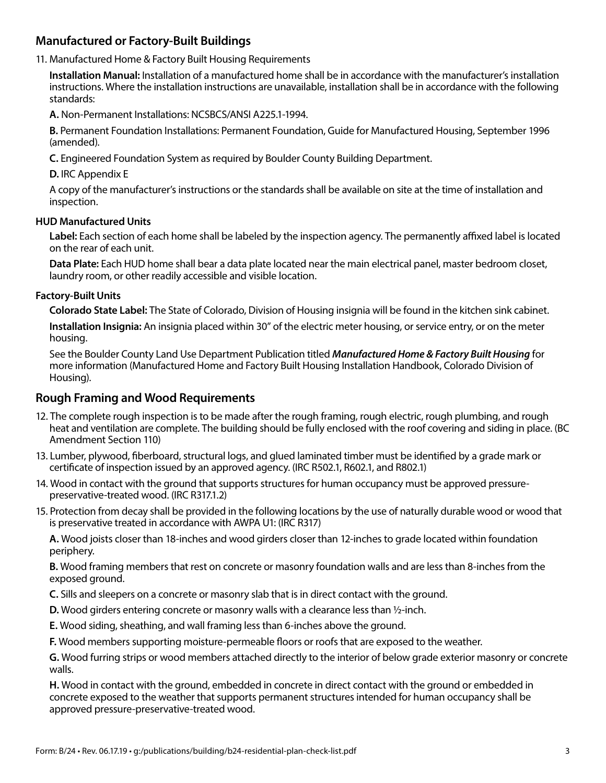# **Manufactured or Factory-Built Buildings**

#### 11. Manufactured Home & Factory Built Housing Requirements

**Installation Manual:** Installation of a manufactured home shall be in accordance with the manufacturer's installation instructions. Where the installation instructions are unavailable, installation shall be in accordance with the following standards:

**A.** Non-Permanent Installations: NCSBCS/ANSI A225.1-1994.

**B.** Permanent Foundation Installations: Permanent Foundation, Guide for Manufactured Housing, September 1996 (amended).

**C.** Engineered Foundation System as required by Boulder County Building Department.

**D.** IRC Appendix E

A copy of the manufacturer's instructions or the standards shall be available on site at the time of installation and inspection.

#### **HUD Manufactured Units**

**Label:** Each section of each home shall be labeled by the inspection agency. The permanently affixed label is located on the rear of each unit.

**Data Plate:** Each HUD home shall bear a data plate located near the main electrical panel, master bedroom closet, laundry room, or other readily accessible and visible location.

#### **Factory-Built Units**

**Colorado State Label:** The State of Colorado, Division of Housing insignia will be found in the kitchen sink cabinet. **Installation Insignia:** An insignia placed within 30" of the electric meter housing, or service entry, or on the meter

housing.

See the Boulder County Land Use Department Publication titled *Manufactured Home & Factory Built Housing* for more information (Manufactured Home and Factory Built Housing Installation Handbook, Colorado Division of Housing).

#### **Rough Framing and Wood Requirements**

- 12. The complete rough inspection is to be made after the rough framing, rough electric, rough plumbing, and rough heat and ventilation are complete. The building should be fully enclosed with the roof covering and siding in place. (BC Amendment Section 110)
- 13. Lumber, plywood, fiberboard, structural logs, and glued laminated timber must be identified by a grade mark or certificate of inspection issued by an approved agency. (IRC R502.1, R602.1, and R802.1)
- 14. Wood in contact with the ground that supports structures for human occupancy must be approved pressurepreservative-treated wood. (IRC R317.1.2)
- 15. Protection from decay shall be provided in the following locations by the use of naturally durable wood or wood that is preservative treated in accordance with AWPA U1: (IRC R317)

**A.** Wood joists closer than 18-inches and wood girders closer than 12-inches to grade located within foundation periphery.

**B.** Wood framing members that rest on concrete or masonry foundation walls and are less than 8-inches from the exposed ground.

**C.** Sills and sleepers on a concrete or masonry slab that is in direct contact with the ground.

- **D.** Wood girders entering concrete or masonry walls with a clearance less than ½-inch.
- **E.** Wood siding, sheathing, and wall framing less than 6-inches above the ground.

**F.** Wood members supporting moisture-permeable floors or roofs that are exposed to the weather.

**G.** Wood furring strips or wood members attached directly to the interior of below grade exterior masonry or concrete walls.

**H.** Wood in contact with the ground, embedded in concrete in direct contact with the ground or embedded in concrete exposed to the weather that supports permanent structures intended for human occupancy shall be approved pressure-preservative-treated wood.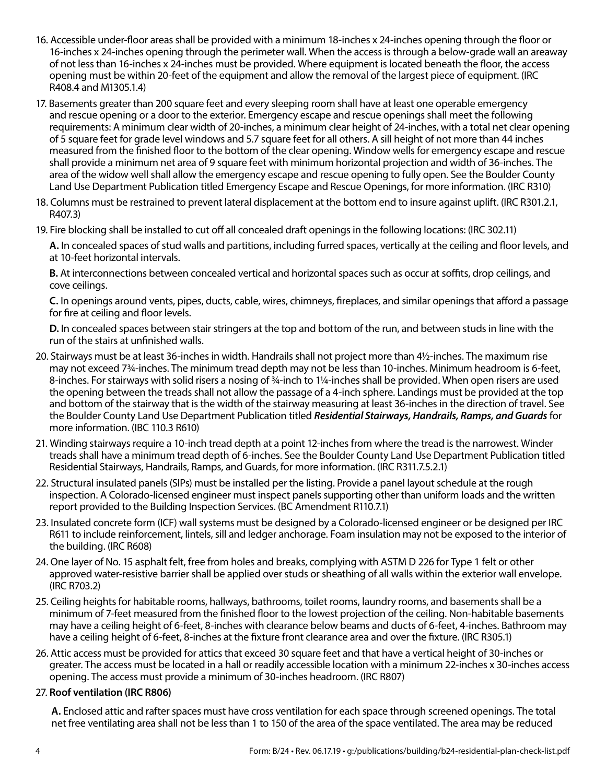- 16. Accessible under-floor areas shall be provided with a minimum 18-inches x 24-inches opening through the floor or 16-inches x 24-inches opening through the perimeter wall. When the access is through a below-grade wall an areaway of not less than 16-inches x 24-inches must be provided. Where equipment is located beneath the floor, the access opening must be within 20-feet of the equipment and allow the removal of the largest piece of equipment. (IRC R408.4 and M1305.1.4)
- 17. Basements greater than 200 square feet and every sleeping room shall have at least one operable emergency and rescue opening or a door to the exterior. Emergency escape and rescue openings shall meet the following requirements: A minimum clear width of 20-inches, a minimum clear height of 24-inches, with a total net clear opening of 5 square feet for grade level windows and 5.7 square feet for all others. A sill height of not more than 44 inches measured from the finished floor to the bottom of the clear opening. Window wells for emergency escape and rescue shall provide a minimum net area of 9 square feet with minimum horizontal projection and width of 36-inches. The area of the widow well shall allow the emergency escape and rescue opening to fully open. See the Boulder County Land Use Department Publication titled Emergency Escape and Rescue Openings, for more information. (IRC R310)
- 18. Columns must be restrained to prevent lateral displacement at the bottom end to insure against uplift. (IRC R301.2.1, R407.3)
- 19. Fire blocking shall be installed to cut off all concealed draft openings in the following locations: (IRC 302.11)

**A.** In concealed spaces of stud walls and partitions, including furred spaces, vertically at the ceiling and floor levels, and at 10-feet horizontal intervals.

**B.** At interconnections between concealed vertical and horizontal spaces such as occur at soffits, drop ceilings, and cove ceilings.

**C.** In openings around vents, pipes, ducts, cable, wires, chimneys, fireplaces, and similar openings that afford a passage for fire at ceiling and floor levels.

**D.** In concealed spaces between stair stringers at the top and bottom of the run, and between studs in line with the run of the stairs at unfinished walls.

- 20. Stairways must be at least 36-inches in width. Handrails shall not project more than 4½-inches. The maximum rise may not exceed 7¾-inches. The minimum tread depth may not be less than 10-inches. Minimum headroom is 6-feet, 8-inches. For stairways with solid risers a nosing of 34-inch to 1¼-inches shall be provided. When open risers are used the opening between the treads shall not allow the passage of a 4-inch sphere. Landings must be provided at the top and bottom of the stairway that is the width of the stairway measuring at least 36-inches in the direction of travel. See the Boulder County Land Use Department Publication titled *Residential Stairways, Handrails, Ramps, and Guards* for more information. (IBC 110.3 R610)
- 21. Winding stairways require a 10-inch tread depth at a point 12-inches from where the tread is the narrowest. Winder treads shall have a minimum tread depth of 6-inches. See the Boulder County Land Use Department Publication titled Residential Stairways, Handrails, Ramps, and Guards, for more information. (IRC R311.7.5.2.1)
- 22. Structural insulated panels (SIPs) must be installed per the listing. Provide a panel layout schedule at the rough inspection. A Colorado-licensed engineer must inspect panels supporting other than uniform loads and the written report provided to the Building Inspection Services. (BC Amendment R110.7.1)
- 23. Insulated concrete form (ICF) wall systems must be designed by a Colorado-licensed engineer or be designed per IRC R611 to include reinforcement, lintels, sill and ledger anchorage. Foam insulation may not be exposed to the interior of the building. (IRC R608)
- 24. One layer of No. 15 asphalt felt, free from holes and breaks, complying with ASTM D 226 for Type 1 felt or other approved water-resistive barrier shall be applied over studs or sheathing of all walls within the exterior wall envelope. (IRC R703.2)
- 25. Ceiling heights for habitable rooms, hallways, bathrooms, toilet rooms, laundry rooms, and basements shall be a minimum of 7-feet measured from the finished floor to the lowest projection of the ceiling. Non-habitable basements may have a ceiling height of 6-feet, 8-inches with clearance below beams and ducts of 6-feet, 4-inches. Bathroom may have a ceiling height of 6-feet, 8-inches at the fixture front clearance area and over the fixture. (IRC R305.1)
- 26. Attic access must be provided for attics that exceed 30 square feet and that have a vertical height of 30-inches or greater. The access must be located in a hall or readily accessible location with a minimum 22-inches x 30-inches access opening. The access must provide a minimum of 30-inches headroom. (IRC R807)

#### 27. **Roof ventilation (IRC R806)**

**A.** Enclosed attic and rafter spaces must have cross ventilation for each space through screened openings. The total net free ventilating area shall not be less than 1 to 150 of the area of the space ventilated. The area may be reduced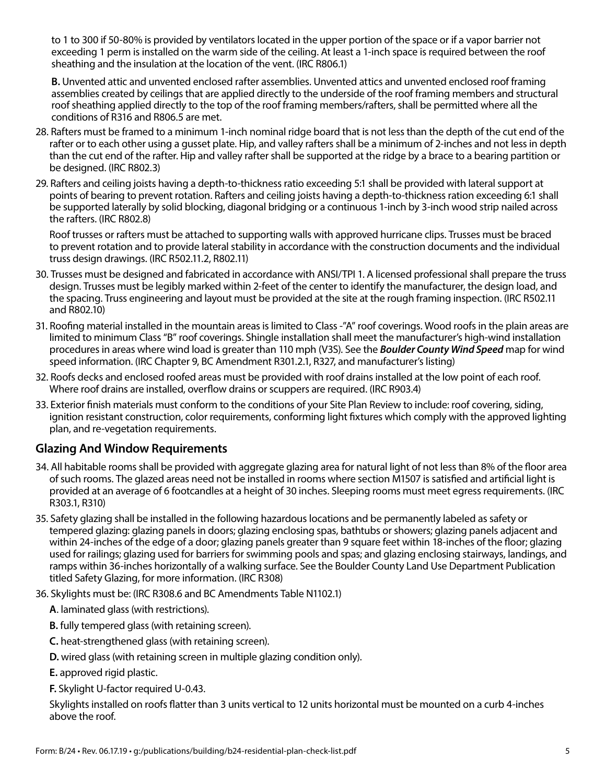to 1 to 300 if 50-80% is provided by ventilators located in the upper portion of the space or if a vapor barrier not exceeding 1 perm is installed on the warm side of the ceiling. At least a 1-inch space is required between the roof sheathing and the insulation at the location of the vent. (IRC R806.1)

**B.** Unvented attic and unvented enclosed rafter assemblies. Unvented attics and unvented enclosed roof framing assemblies created by ceilings that are applied directly to the underside of the roof framing members and structural roof sheathing applied directly to the top of the roof framing members/rafters, shall be permitted where all the conditions of R316 and R806.5 are met.

- 28. Rafters must be framed to a minimum 1-inch nominal ridge board that is not less than the depth of the cut end of the rafter or to each other using a gusset plate. Hip, and valley rafters shall be a minimum of 2-inches and not less in depth than the cut end of the rafter. Hip and valley rafter shall be supported at the ridge by a brace to a bearing partition or be designed. (IRC R802.3)
- 29. Rafters and ceiling joists having a depth-to-thickness ratio exceeding 5:1 shall be provided with lateral support at points of bearing to prevent rotation. Rafters and ceiling joists having a depth-to-thickness ration exceeding 6:1 shall be supported laterally by solid blocking, diagonal bridging or a continuous 1-inch by 3-inch wood strip nailed across the rafters. (IRC R802.8)

Roof trusses or rafters must be attached to supporting walls with approved hurricane clips. Trusses must be braced to prevent rotation and to provide lateral stability in accordance with the construction documents and the individual truss design drawings. (IRC R502.11.2, R802.11)

- 30. Trusses must be designed and fabricated in accordance with ANSI/TPI 1. A licensed professional shall prepare the truss design. Trusses must be legibly marked within 2-feet of the center to identify the manufacturer, the design load, and the spacing. Truss engineering and layout must be provided at the site at the rough framing inspection. (IRC R502.11 and R802.10)
- 31. Roofing material installed in the mountain areas is limited to Class -"A" roof coverings. Wood roofs in the plain areas are limited to minimum Class "B" roof coverings. Shingle installation shall meet the manufacturer's high-wind installation procedures in areas where wind load is greater than 110 mph (V3S). See the *Boulder County Wind Speed* map for wind speed information. (IRC Chapter 9, BC Amendment R301.2.1, R327, and manufacturer's listing)
- 32. Roofs decks and enclosed roofed areas must be provided with roof drains installed at the low point of each roof. Where roof drains are installed, overflow drains or scuppers are required. (IRC R903.4)
- 33. Exterior finish materials must conform to the conditions of your Site Plan Review to include: roof covering, siding, ignition resistant construction, color requirements, conforming light fixtures which comply with the approved lighting plan, and re-vegetation requirements.

# **Glazing And Window Requirements**

- 34. All habitable rooms shall be provided with aggregate glazing area for natural light of not less than 8% of the floor area of such rooms. The glazed areas need not be installed in rooms where section M1507 is satisfied and artificial light is provided at an average of 6 footcandles at a height of 30 inches. Sleeping rooms must meet egress requirements. (IRC R303.1, R310)
- 35. Safety glazing shall be installed in the following hazardous locations and be permanently labeled as safety or tempered glazing: glazing panels in doors; glazing enclosing spas, bathtubs or showers; glazing panels adjacent and within 24-inches of the edge of a door; glazing panels greater than 9 square feet within 18-inches of the floor; glazing used for railings; glazing used for barriers for swimming pools and spas; and glazing enclosing stairways, landings, and ramps within 36-inches horizontally of a walking surface. See the Boulder County Land Use Department Publication titled Safety Glazing, for more information. (IRC R308)
- 36. Skylights must be: (IRC R308.6 and BC Amendments Table N1102.1)
	- **A**. laminated glass (with restrictions).
	- **B.** fully tempered glass (with retaining screen).
	- **C.** heat-strengthened glass (with retaining screen).
	- **D.** wired glass (with retaining screen in multiple glazing condition only).
	- **E.** approved rigid plastic.
	- **F.** Skylight U-factor required U-0.43.

Skylights installed on roofs flatter than 3 units vertical to 12 units horizontal must be mounted on a curb 4-inches above the roof.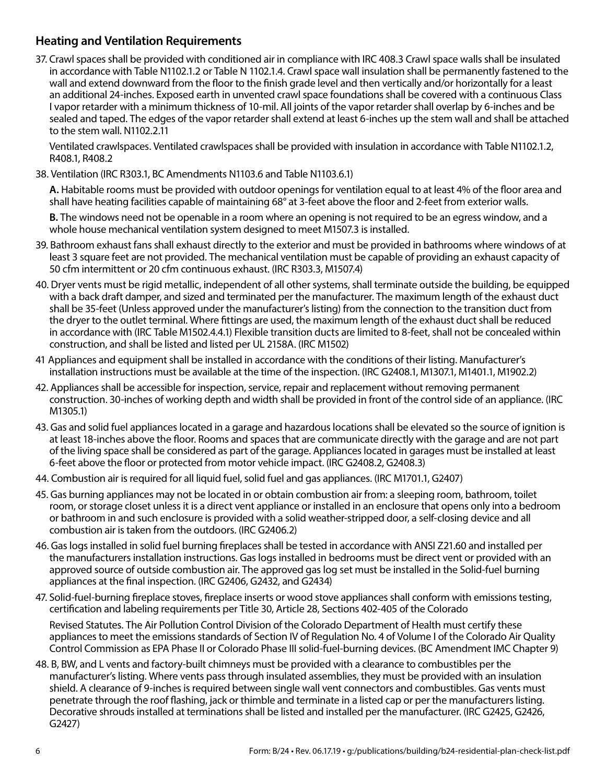# **Heating and Ventilation Requirements**

37. Crawl spaces shall be provided with conditioned air in compliance with IRC 408.3 Crawl space walls shall be insulated in accordance with Table N1102.1.2 or Table N 1102.1.4. Crawl space wall insulation shall be permanently fastened to the wall and extend downward from the floor to the finish grade level and then vertically and/or horizontally for a least an additional 24-inches. Exposed earth in unvented crawl space foundations shall be covered with a continuous Class I vapor retarder with a minimum thickness of 10-mil. All joints of the vapor retarder shall overlap by 6-inches and be sealed and taped. The edges of the vapor retarder shall extend at least 6-inches up the stem wall and shall be attached to the stem wall. N1102.2.11

Ventilated crawlspaces. Ventilated crawlspaces shall be provided with insulation in accordance with Table N1102.1.2, R408.1, R408.2

38. Ventilation (IRC R303.1, BC Amendments N1103.6 and Table N1103.6.1)

**A.** Habitable rooms must be provided with outdoor openings for ventilation equal to at least 4% of the floor area and shall have heating facilities capable of maintaining 68° at 3-feet above the floor and 2-feet from exterior walls.

**B.** The windows need not be openable in a room where an opening is not required to be an egress window, and a whole house mechanical ventilation system designed to meet M1507.3 is installed.

- 39. Bathroom exhaust fans shall exhaust directly to the exterior and must be provided in bathrooms where windows of at least 3 square feet are not provided. The mechanical ventilation must be capable of providing an exhaust capacity of 50 cfm intermittent or 20 cfm continuous exhaust. (IRC R303.3, M1507.4)
- 40. Dryer vents must be rigid metallic, independent of all other systems, shall terminate outside the building, be equipped with a back draft damper, and sized and terminated per the manufacturer. The maximum length of the exhaust duct shall be 35-feet (Unless approved under the manufacturer's listing) from the connection to the transition duct from the dryer to the outlet terminal. Where fittings are used, the maximum length of the exhaust duct shall be reduced in accordance with (IRC Table M1502.4.4.1) Flexible transition ducts are limited to 8-feet, shall not be concealed within construction, and shall be listed and listed per UL 2158A. (IRC M1502)
- 41 Appliances and equipment shall be installed in accordance with the conditions of their listing. Manufacturer's installation instructions must be available at the time of the inspection. (IRC G2408.1, M1307.1, M1401.1, M1902.2)
- 42. Appliances shall be accessible for inspection, service, repair and replacement without removing permanent construction. 30-inches of working depth and width shall be provided in front of the control side of an appliance. (IRC M1305.1)
- 43. Gas and solid fuel appliances located in a garage and hazardous locations shall be elevated so the source of ignition is at least 18-inches above the floor. Rooms and spaces that are communicate directly with the garage and are not part of the living space shall be considered as part of the garage. Appliances located in garages must be installed at least 6-feet above the floor or protected from motor vehicle impact. (IRC G2408.2, G2408.3)
- 44. Combustion air is required for all liquid fuel, solid fuel and gas appliances. (IRC M1701.1, G2407)
- 45. Gas burning appliances may not be located in or obtain combustion air from: a sleeping room, bathroom, toilet room, or storage closet unless it is a direct vent appliance or installed in an enclosure that opens only into a bedroom or bathroom in and such enclosure is provided with a solid weather-stripped door, a self-closing device and all combustion air is taken from the outdoors. (IRC G2406.2)
- 46. Gas logs installed in solid fuel burning fireplaces shall be tested in accordance with ANSI Z21.60 and installed per the manufacturers installation instructions. Gas logs installed in bedrooms must be direct vent or provided with an approved source of outside combustion air. The approved gas log set must be installed in the Solid-fuel burning appliances at the final inspection. (IRC G2406, G2432, and G2434)
- 47. Solid-fuel-burning fireplace stoves, fireplace inserts or wood stove appliances shall conform with emissions testing, certification and labeling requirements per Title 30, Article 28, Sections 402-405 of the Colorado

Revised Statutes. The Air Pollution Control Division of the Colorado Department of Health must certify these appliances to meet the emissions standards of Section IV of Regulation No. 4 of Volume I of the Colorado Air Quality Control Commission as EPA Phase II or Colorado Phase III solid-fuel-burning devices. (BC Amendment IMC Chapter 9)

48. B, BW, and L vents and factory-built chimneys must be provided with a clearance to combustibles per the manufacturer's listing. Where vents pass through insulated assemblies, they must be provided with an insulation shield. A clearance of 9-inches is required between single wall vent connectors and combustibles. Gas vents must penetrate through the roof flashing, jack or thimble and terminate in a listed cap or per the manufacturers listing. Decorative shrouds installed at terminations shall be listed and installed per the manufacturer. (IRC G2425, G2426, G2427)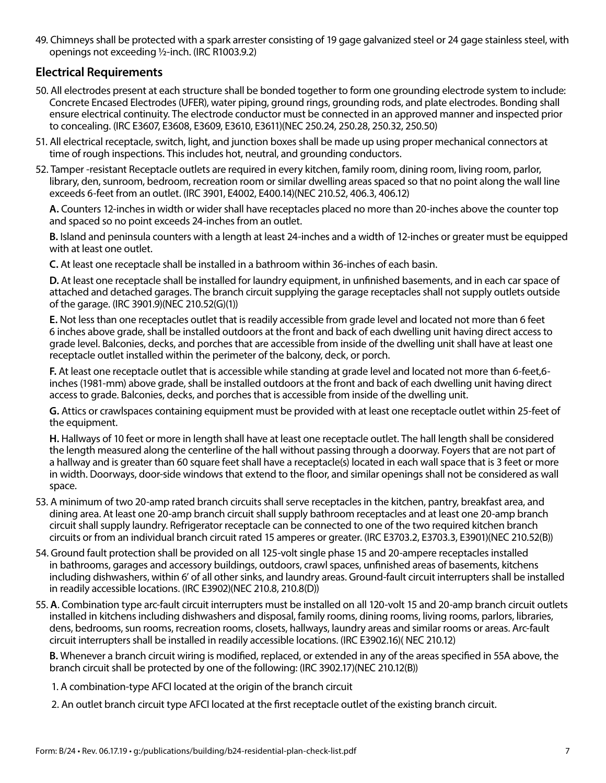49. Chimneys shall be protected with a spark arrester consisting of 19 gage galvanized steel or 24 gage stainless steel, with openings not exceeding ½-inch. (IRC R1003.9.2)

# **Electrical Requirements**

- 50. All electrodes present at each structure shall be bonded together to form one grounding electrode system to include: Concrete Encased Electrodes (UFER), water piping, ground rings, grounding rods, and plate electrodes. Bonding shall ensure electrical continuity. The electrode conductor must be connected in an approved manner and inspected prior to concealing. (IRC E3607, E3608, E3609, E3610, E3611)(NEC 250.24, 250.28, 250.32, 250.50)
- 51. All electrical receptacle, switch, light, and junction boxes shall be made up using proper mechanical connectors at time of rough inspections. This includes hot, neutral, and grounding conductors.
- 52. Tamper -resistant Receptacle outlets are required in every kitchen, family room, dining room, living room, parlor, library, den, sunroom, bedroom, recreation room or similar dwelling areas spaced so that no point along the wall line exceeds 6-feet from an outlet. (IRC 3901, E4002, E400.14)(NEC 210.52, 406.3, 406.12)

**A.** Counters 12-inches in width or wider shall have receptacles placed no more than 20-inches above the counter top and spaced so no point exceeds 24-inches from an outlet.

**B.** Island and peninsula counters with a length at least 24-inches and a width of 12-inches or greater must be equipped with at least one outlet.

**C.** At least one receptacle shall be installed in a bathroom within 36-inches of each basin.

**D.** At least one receptacle shall be installed for laundry equipment, in unfinished basements, and in each car space of attached and detached garages. The branch circuit supplying the garage receptacles shall not supply outlets outside of the garage. (IRC 3901.9)(NEC 210.52(G)(1))

**E.** Not less than one receptacles outlet that is readily accessible from grade level and located not more than 6 feet 6 inches above grade, shall be installed outdoors at the front and back of each dwelling unit having direct access to grade level. Balconies, decks, and porches that are accessible from inside of the dwelling unit shall have at least one receptacle outlet installed within the perimeter of the balcony, deck, or porch.

**F.** At least one receptacle outlet that is accessible while standing at grade level and located not more than 6-feet,6 inches (1981-mm) above grade, shall be installed outdoors at the front and back of each dwelling unit having direct access to grade. Balconies, decks, and porches that is accessible from inside of the dwelling unit.

**G.** Attics or crawlspaces containing equipment must be provided with at least one receptacle outlet within 25-feet of the equipment.

**H.** Hallways of 10 feet or more in length shall have at least one receptacle outlet. The hall length shall be considered the length measured along the centerline of the hall without passing through a doorway. Foyers that are not part of a hallway and is greater than 60 square feet shall have a receptacle(s) located in each wall space that is 3 feet or more in width. Doorways, door-side windows that extend to the floor, and similar openings shall not be considered as wall space.

- 53. A minimum of two 20-amp rated branch circuits shall serve receptacles in the kitchen, pantry, breakfast area, and dining area. At least one 20-amp branch circuit shall supply bathroom receptacles and at least one 20-amp branch circuit shall supply laundry. Refrigerator receptacle can be connected to one of the two required kitchen branch circuits or from an individual branch circuit rated 15 amperes or greater. (IRC E3703.2, E3703.3, E3901)(NEC 210.52(B))
- 54. Ground fault protection shall be provided on all 125-volt single phase 15 and 20-ampere receptacles installed in bathrooms, garages and accessory buildings, outdoors, crawl spaces, unfinished areas of basements, kitchens including dishwashers, within 6' of all other sinks, and laundry areas. Ground-fault circuit interrupters shall be installed in readily accessible locations. (IRC E3902)(NEC 210.8, 210.8(D))
- 55. **A**. Combination type arc-fault circuit interrupters must be installed on all 120-volt 15 and 20-amp branch circuit outlets installed in kitchens including dishwashers and disposal, family rooms, dining rooms, living rooms, parlors, libraries, dens, bedrooms, sun rooms, recreation rooms, closets, hallways, laundry areas and similar rooms or areas. Arc-fault circuit interrupters shall be installed in readily accessible locations. (IRC E3902.16)( NEC 210.12)

**B.** Whenever a branch circuit wiring is modified, replaced, or extended in any of the areas specified in 55A above, the branch circuit shall be protected by one of the following: (IRC 3902.17)(NEC 210.12(B))

1. A combination-type AFCI located at the origin of the branch circuit

2. An outlet branch circuit type AFCI located at the first receptacle outlet of the existing branch circuit.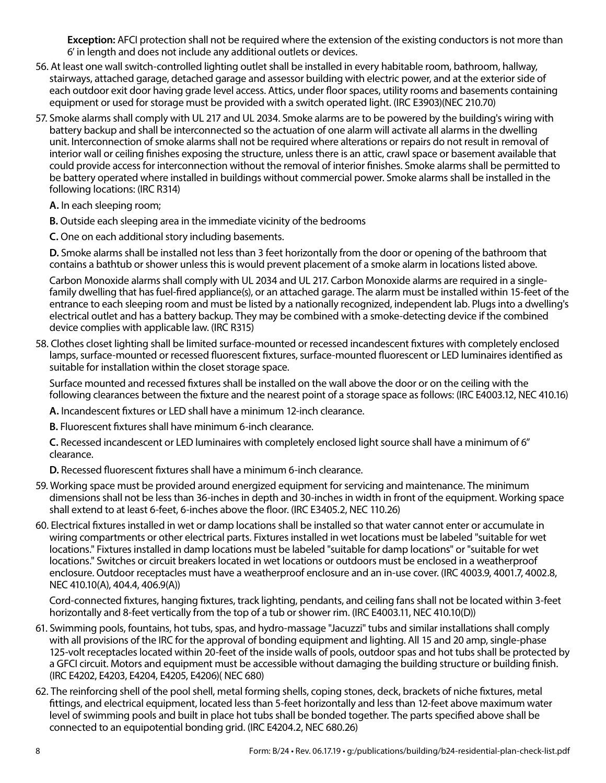**Exception:** AFCI protection shall not be required where the extension of the existing conductors is not more than 6' in length and does not include any additional outlets or devices.

- 56. At least one wall switch-controlled lighting outlet shall be installed in every habitable room, bathroom, hallway, stairways, attached garage, detached garage and assessor building with electric power, and at the exterior side of each outdoor exit door having grade level access. Attics, under floor spaces, utility rooms and basements containing equipment or used for storage must be provided with a switch operated light. (IRC E3903)(NEC 210.70)
- 57. Smoke alarms shall comply with UL 217 and UL 2034. Smoke alarms are to be powered by the building's wiring with battery backup and shall be interconnected so the actuation of one alarm will activate all alarms in the dwelling unit. Interconnection of smoke alarms shall not be required where alterations or repairs do not result in removal of interior wall or ceiling finishes exposing the structure, unless there is an attic, crawl space or basement available that could provide access for interconnection without the removal of interior finishes. Smoke alarms shall be permitted to be battery operated where installed in buildings without commercial power. Smoke alarms shall be installed in the following locations: (IRC R314)
	- **A.** In each sleeping room;
	- **B.** Outside each sleeping area in the immediate vicinity of the bedrooms
	- **C.** One on each additional story including basements.

**D.** Smoke alarms shall be installed not less than 3 feet horizontally from the door or opening of the bathroom that contains a bathtub or shower unless this is would prevent placement of a smoke alarm in locations listed above.

Carbon Monoxide alarms shall comply with UL 2034 and UL 217. Carbon Monoxide alarms are required in a singlefamily dwelling that has fuel-fired appliance(s), or an attached garage. The alarm must be installed within 15-feet of the entrance to each sleeping room and must be listed by a nationally recognized, independent lab. Plugs into a dwelling's electrical outlet and has a battery backup. They may be combined with a smoke-detecting device if the combined device complies with applicable law. (IRC R315)

58. Clothes closet lighting shall be limited surface-mounted or recessed incandescent fixtures with completely enclosed lamps, surface-mounted or recessed fluorescent fixtures, surface-mounted fluorescent or LED luminaires identified as suitable for installation within the closet storage space.

Surface mounted and recessed fixtures shall be installed on the wall above the door or on the ceiling with the following clearances between the fixture and the nearest point of a storage space as follows: (IRC E4003.12, NEC 410.16)

**A.** Incandescent fixtures or LED shall have a minimum 12-inch clearance.

**B.** Fluorescent fixtures shall have minimum 6-inch clearance.

**C.** Recessed incandescent or LED luminaires with completely enclosed light source shall have a minimum of 6" clearance.

**D.** Recessed fluorescent fixtures shall have a minimum 6-inch clearance.

- 59. Working space must be provided around energized equipment for servicing and maintenance. The minimum dimensions shall not be less than 36-inches in depth and 30-inches in width in front of the equipment. Working space shall extend to at least 6-feet, 6-inches above the floor. (IRC E3405.2, NEC 110.26)
- 60. Electrical fixtures installed in wet or damp locations shall be installed so that water cannot enter or accumulate in wiring compartments or other electrical parts. Fixtures installed in wet locations must be labeled "suitable for wet locations." Fixtures installed in damp locations must be labeled "suitable for damp locations" or "suitable for wet locations." Switches or circuit breakers located in wet locations or outdoors must be enclosed in a weatherproof enclosure. Outdoor receptacles must have a weatherproof enclosure and an in-use cover. (IRC 4003.9, 4001.7, 4002.8, NEC 410.10(A), 404.4, 406.9(A))

Cord-connected fixtures, hanging fixtures, track lighting, pendants, and ceiling fans shall not be located within 3-feet horizontally and 8-feet vertically from the top of a tub or shower rim. (IRC E4003.11, NEC 410.10(D))

- 61. Swimming pools, fountains, hot tubs, spas, and hydro-massage "Jacuzzi" tubs and similar installations shall comply with all provisions of the IRC for the approval of bonding equipment and lighting. All 15 and 20 amp, single-phase 125-volt receptacles located within 20-feet of the inside walls of pools, outdoor spas and hot tubs shall be protected by a GFCI circuit. Motors and equipment must be accessible without damaging the building structure or building finish. (IRC E4202, E4203, E4204, E4205, E4206)( NEC 680)
- 62. The reinforcing shell of the pool shell, metal forming shells, coping stones, deck, brackets of niche fixtures, metal fittings, and electrical equipment, located less than 5-feet horizontally and less than 12-feet above maximum water level of swimming pools and built in place hot tubs shall be bonded together. The parts specified above shall be connected to an equipotential bonding grid. (IRC E4204.2, NEC 680.26)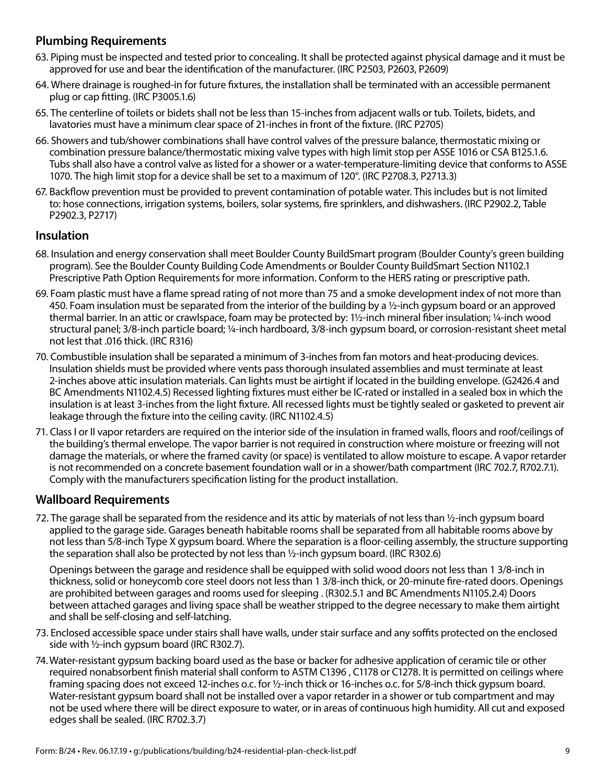# **Plumbing Requirements**

- 63. Piping must be inspected and tested prior to concealing. It shall be protected against physical damage and it must be approved for use and bear the identification of the manufacturer. (IRC P2503, P2603, P2609)
- 64. Where drainage is roughed-in for future fixtures, the installation shall be terminated with an accessible permanent plug or cap fitting. (IRC P3005.1.6)
- 65. The centerline of toilets or bidets shall not be less than 15-inches from adjacent walls or tub. Toilets, bidets, and lavatories must have a minimum clear space of 21-inches in front of the fixture. (IRC P2705)
- 66. Showers and tub/shower combinations shall have control valves of the pressure balance, thermostatic mixing or combination pressure balance/thermostatic mixing valve types with high limit stop per ASSE 1016 or CSA B125.1.6. Tubs shall also have a control valve as listed for a shower or a water-temperature-limiting device that conforms to ASSE 1070. The high limit stop for a device shall be set to a maximum of 120°. (IRC P2708.3, P2713.3)
- 67. Backflow prevention must be provided to prevent contamination of potable water. This includes but is not limited to: hose connections, irrigation systems, boilers, solar systems, fire sprinklers, and dishwashers. (IRC P2902.2, Table P2902.3, P2717)

### **Insulation**

- 68. Insulation and energy conservation shall meet Boulder County BuildSmart program (Boulder County's green building program). See the Boulder County Building Code Amendments or Boulder County BuildSmart Section N1102.1 Prescriptive Path Option Requirements for more information. Conform to the HERS rating or prescriptive path.
- 69. Foam plastic must have a flame spread rating of not more than 75 and a smoke development index of not more than 450. Foam insulation must be separated from the interior of the building by a  $\frac{1}{2}$ -inch gypsum board or an approved thermal barrier. In an attic or crawlspace, foam may be protected by: 1½-inch mineral fiber insulation; ¼-inch wood structural panel; 3/8-inch particle board; ¼-inch hardboard, 3/8-inch gypsum board, or corrosion-resistant sheet metal not lest that .016 thick. (IRC R316)
- 70. Combustible insulation shall be separated a minimum of 3-inches from fan motors and heat-producing devices. Insulation shields must be provided where vents pass thorough insulated assemblies and must terminate at least 2-inches above attic insulation materials. Can lights must be airtight if located in the building envelope. (G2426.4 and BC Amendments N1102.4.5) Recessed lighting fixtures must either be IC-rated or installed in a sealed box in which the insulation is at least 3-inches from the light fixture. All recessed lights must be tightly sealed or gasketed to prevent air leakage through the fixture into the ceiling cavity. (IRC N1102.4.5)
- 71. Class I or II vapor retarders are required on the interior side of the insulation in framed walls, floors and roof/ceilings of the building's thermal envelope. The vapor barrier is not required in construction where moisture or freezing will not damage the materials, or where the framed cavity (or space) is ventilated to allow moisture to escape. A vapor retarder is not recommended on a concrete basement foundation wall or in a shower/bath compartment (IRC 702.7, R702.7.1). Comply with the manufacturers specification listing for the product installation.

#### **Wallboard Requirements**

72. The garage shall be separated from the residence and its attic by materials of not less than ½-inch gypsum board applied to the garage side. Garages beneath habitable rooms shall be separated from all habitable rooms above by not less than 5/8-inch Type X gypsum board. Where the separation is a floor-ceiling assembly, the structure supporting the separation shall also be protected by not less than ½-inch gypsum board. (IRC R302.6)

Openings between the garage and residence shall be equipped with solid wood doors not less than 1 3/8-inch in thickness, solid or honeycomb core steel doors not less than 1 3/8-inch thick, or 20-minute fire-rated doors. Openings are prohibited between garages and rooms used for sleeping . (R302.5.1 and BC Amendments N1105.2.4) Doors between attached garages and living space shall be weather stripped to the degree necessary to make them airtight and shall be self-closing and self-latching.

- 73. Enclosed accessible space under stairs shall have walls, under stair surface and any soffits protected on the enclosed side with ½-inch gypsum board (IRC R302.7).
- 74.Water-resistant gypsum backing board used as the base or backer for adhesive application of ceramic tile or other required nonabsorbent finish material shall conform to ASTM C1396 , C1178 or C1278. It is permitted on ceilings where framing spacing does not exceed 12-inches o.c. for 1/2-inch thick or 16-inches o.c. for 5/8-inch thick gypsum board. Water-resistant gypsum board shall not be installed over a vapor retarder in a shower or tub compartment and may not be used where there will be direct exposure to water, or in areas of continuous high humidity. All cut and exposed edges shall be sealed. (IRC R702.3.7)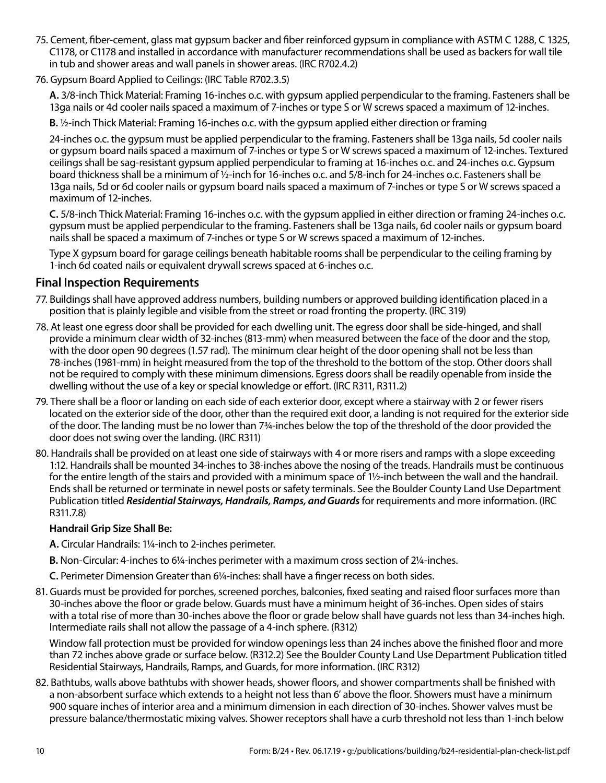- 75. Cement, fiber-cement, glass mat gypsum backer and fiber reinforced gypsum in compliance with ASTM C 1288, C 1325, C1178, or C1178 and installed in accordance with manufacturer recommendations shall be used as backers for wall tile in tub and shower areas and wall panels in shower areas. (IRC R702.4.2)
- 76. Gypsum Board Applied to Ceilings: (IRC Table R702.3.5)

**A.** 3/8-inch Thick Material: Framing 16-inches o.c. with gypsum applied perpendicular to the framing. Fasteners shall be 13ga nails or 4d cooler nails spaced a maximum of 7-inches or type S or W screws spaced a maximum of 12-inches.

**B.** ½-inch Thick Material: Framing 16-inches o.c. with the gypsum applied either direction or framing

24-inches o.c. the gypsum must be applied perpendicular to the framing. Fasteners shall be 13ga nails, 5d cooler nails or gypsum board nails spaced a maximum of 7-inches or type S or W screws spaced a maximum of 12-inches. Textured ceilings shall be sag-resistant gypsum applied perpendicular to framing at 16-inches o.c. and 24-inches o.c. Gypsum board thickness shall be a minimum of ½-inch for 16-inches o.c. and 5/8-inch for 24-inches o.c. Fasteners shall be 13ga nails, 5d or 6d cooler nails or gypsum board nails spaced a maximum of 7-inches or type S or W screws spaced a maximum of 12-inches.

**C.** 5/8-inch Thick Material: Framing 16-inches o.c. with the gypsum applied in either direction or framing 24-inches o.c. gypsum must be applied perpendicular to the framing. Fasteners shall be 13ga nails, 6d cooler nails or gypsum board nails shall be spaced a maximum of 7-inches or type S or W screws spaced a maximum of 12-inches.

Type X gypsum board for garage ceilings beneath habitable rooms shall be perpendicular to the ceiling framing by 1-inch 6d coated nails or equivalent drywall screws spaced at 6-inches o.c.

#### **Final Inspection Requirements**

- 77. Buildings shall have approved address numbers, building numbers or approved building identification placed in a position that is plainly legible and visible from the street or road fronting the property. (IRC 319)
- 78. At least one egress door shall be provided for each dwelling unit. The egress door shall be side-hinged, and shall provide a minimum clear width of 32-inches (813-mm) when measured between the face of the door and the stop, with the door open 90 degrees (1.57 rad). The minimum clear height of the door opening shall not be less than 78-inches (1981-mm) in height measured from the top of the threshold to the bottom of the stop. Other doors shall not be required to comply with these minimum dimensions. Egress doors shall be readily openable from inside the dwelling without the use of a key or special knowledge or effort. (IRC R311, R311.2)
- 79. There shall be a floor or landing on each side of each exterior door, except where a stairway with 2 or fewer risers located on the exterior side of the door, other than the required exit door, a landing is not required for the exterior side of the door. The landing must be no lower than 7¾-inches below the top of the threshold of the door provided the door does not swing over the landing. (IRC R311)
- 80. Handrails shall be provided on at least one side of stairways with 4 or more risers and ramps with a slope exceeding 1:12. Handrails shall be mounted 34-inches to 38-inches above the nosing of the treads. Handrails must be continuous for the entire length of the stairs and provided with a minimum space of 1½-inch between the wall and the handrail. Ends shall be returned or terminate in newel posts or safety terminals. See the Boulder County Land Use Department Publication titled *Residential Stairways, Handrails, Ramps, and Guards* for requirements and more information. (IRC R311.7.8)

#### **Handrail Grip Size Shall Be:**

**A.** Circular Handrails: 1¼-inch to 2-inches perimeter.

- **B.** Non-Circular: 4-inches to 6¼-inches perimeter with a maximum cross section of 2¼-inches.
- **C.** Perimeter Dimension Greater than 6¼-inches: shall have a finger recess on both sides.
- 81. Guards must be provided for porches, screened porches, balconies, fixed seating and raised floor surfaces more than 30-inches above the floor or grade below. Guards must have a minimum height of 36-inches. Open sides of stairs with a total rise of more than 30-inches above the floor or grade below shall have guards not less than 34-inches high. Intermediate rails shall not allow the passage of a 4-inch sphere. (R312)

Window fall protection must be provided for window openings less than 24 inches above the finished floor and more than 72 inches above grade or surface below. (R312.2) See the Boulder County Land Use Department Publication titled Residential Stairways, Handrails, Ramps, and Guards, for more information. (IRC R312)

82. Bathtubs, walls above bathtubs with shower heads, shower floors, and shower compartments shall be finished with a non-absorbent surface which extends to a height not less than 6' above the floor. Showers must have a minimum 900 square inches of interior area and a minimum dimension in each direction of 30-inches. Shower valves must be pressure balance/thermostatic mixing valves. Shower receptors shall have a curb threshold not less than 1-inch below